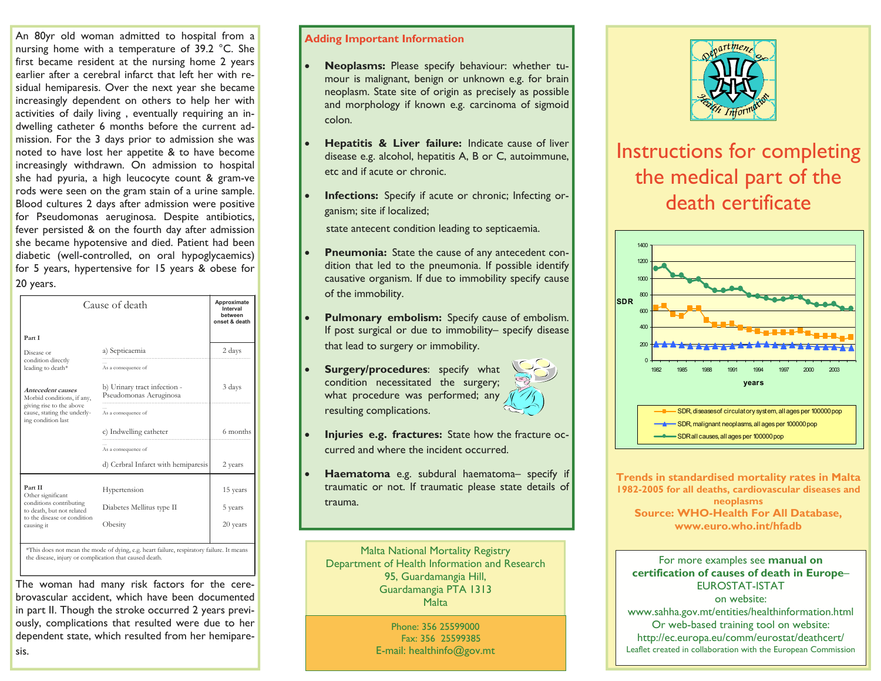An 80yr old woman admitted to hospital from a nursing home with a temperature of 39.2 °C. She first became resident at the nursing home 2 years earlier after a cerebral infarct that left her with residual hemiparesis. Over the next year she became increasingly dependent on others to help her with activities of daily living , eventually requiring an indwelling catheter 6 months before the current admission. For the 3 days prior to admission she was noted to have lost her appetite & to have become increasingly withdrawn. On admission to hospital she had pyuria, a high leucocyte count & gram-ve rods were seen on the gram stain of a urine sample. Blood cultures 2 days after admission were positive for Pseudomonas aeruginosa. Despite antibiotics, fever persisted & on the fourth day after admission she became hypotensive and died. Patient had been diabetic (well-controlled, on oral hypoglycaemics) for 5 years, hypertensive for 15 years & obese for 20 years.

| Cause of death                                                                                                                    |                                                        | Approximate<br>Interval<br>hetween<br>onset & death |
|-----------------------------------------------------------------------------------------------------------------------------------|--------------------------------------------------------|-----------------------------------------------------|
| Part I                                                                                                                            |                                                        |                                                     |
| Disease or<br>condition directly<br>leading to death*                                                                             | a) Septicaemia                                         | 2 days                                              |
|                                                                                                                                   | As a consequence of                                    |                                                     |
| Antecedent causes<br>Morbid conditions, if any,<br>giving rise to the above<br>cause, stating the underly-<br>ing condition last  | b) Urinary tract infection -<br>Pseudomonas Aeruginosa | 3 days                                              |
|                                                                                                                                   | As a consequence of                                    |                                                     |
|                                                                                                                                   | c) Indwelling catheter                                 | 6 months                                            |
|                                                                                                                                   | As a consequence of                                    |                                                     |
|                                                                                                                                   | d) Cerbral Infarct with hemiparesis                    | 2 years                                             |
| Part II<br>Other significant<br>conditions contributing<br>to death, but not related<br>to the disease or condition<br>causing it | Hypertension                                           | 15 years                                            |
|                                                                                                                                   | Diabetes Mellitus type II                              | 5 years                                             |
|                                                                                                                                   | Obesity                                                | 20 years                                            |
|                                                                                                                                   |                                                        |                                                     |

\*This does not mean the mode of dying, e.g. heart failure, respiratory failure. It means the disease, injury or complication that caused death.

The woman had many risk factors for the cerebrovascular accident, which have been documented in part II. Though the stroke occurred 2 years previously, complications that resulted were due to her dependent state, which resulted from her hemipare-

sis.

#### Adding Important Information

- Neoplasms: Please specify behaviour: whether tumour is malignant, benign or unknown e.g. for brain neoplasm. State site of origin as precisely as possible and morphology if known e.g. carcinoma of sigmoid colon.
- **Hepatitis & Liver failure:** Indicate cause of liver disease e.g. alcohol, hepatitis A, B or C, autoimmune, etc and if acute or chronic.
- Infections: Specify if acute or chronic; Infecting organism; site if localized;

state antecent condition leading to septicaemia.

- **Pneumonia:** State the cause of any antecedent condition that led to the pneumonia. If possible identify causative organism. If due to immobility specify causeof the immobility.
- Pulmonary embolism: Specify cause of embolism. If post surgical or due to immobility– specify disease that lead to surgery or immobility.
- Surgery/procedures: specify what condition necessitated the surgery; what procedure was performed; any resulting complications.



- Injuries e.g. fractures: State how the fracture occurred and where the incident occurred.
- Haematoma e.g. subdural haematoma– specify if traumatic or not. If traumatic please state details of trauma.

Malta National Mortality Registry Department of Health Information and Research 95, Guardamangia Hill, Guardamangia PTA 1313 **Malta** 

> Phone: 356 25599000 Fax: 356 25599385 E-mail: healthinfo@gov.mt



# Instructions for completing the medical part of the death certificate



Trends in standardised mortality rates in Malta 1982-2005 for all deaths, cardiovascular diseases and neoplasms Source: WHO-Health For All Database, www.euro.who.int/hfadb

#### For more examples see manual on certification of causes of death in Europe– EUROSTAT-ISTAT

on website: www.sahha.gov.mt/entities/healthinformation.html Or web-based training tool on website: http://ec.europa.eu/comm/eurostat/deathcert/ Leaflet created in collaboration with the European Commission